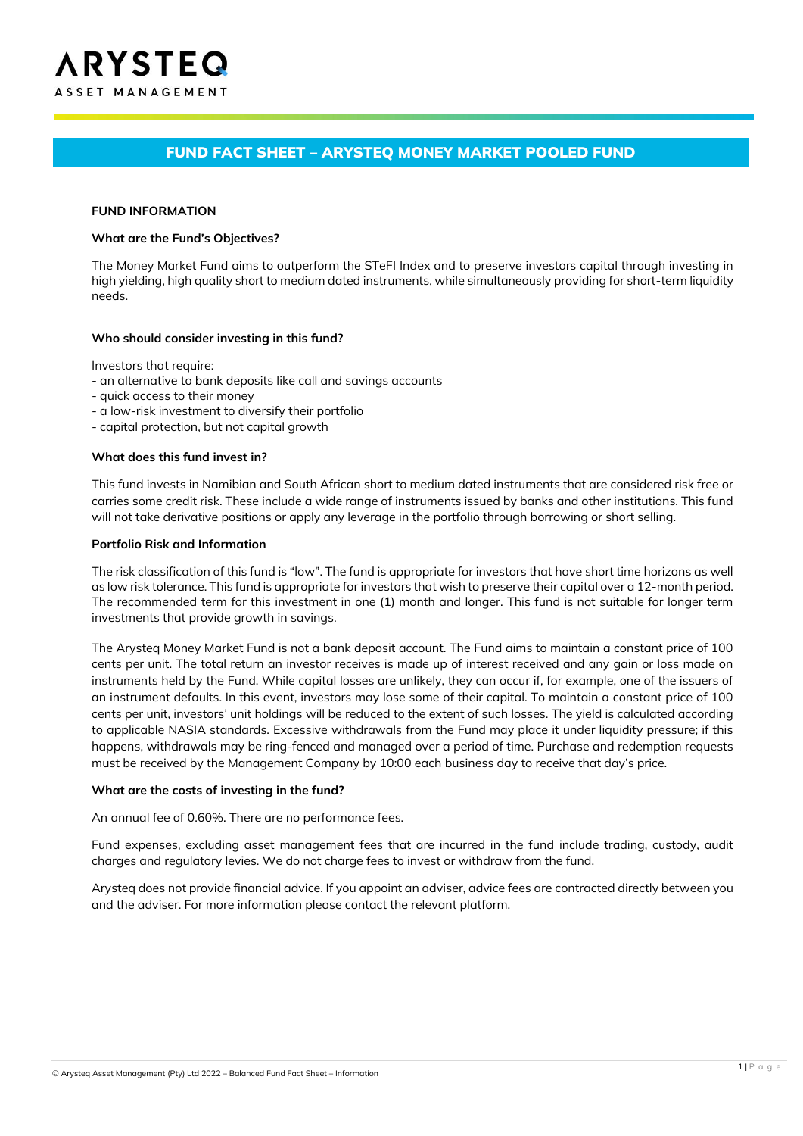# FUND FACT SHEET – ARYSTEQ MONEY MARKET POOLED FUND

#### **FUND INFORMATION**

#### **What are the Fund's Objectives?**

The Money Market Fund aims to outperform the STeFI Index and to preserve investors capital through investing in high yielding, high quality short to medium dated instruments, while simultaneously providing for short-term liquidity needs.

#### **Who should consider investing in this fund?**

Investors that require:

- an alternative to bank deposits like call and savings accounts
- quick access to their money
- a low-risk investment to diversify their portfolio
- capital protection, but not capital growth

#### **What does this fund invest in?**

This fund invests in Namibian and South African short to medium dated instruments that are considered risk free or carries some credit risk. These include a wide range of instruments issued by banks and other institutions. This fund will not take derivative positions or apply any leverage in the portfolio through borrowing or short selling.

#### **Portfolio Risk and Information**

The risk classification of this fund is "low". The fund is appropriate for investors that have short time horizons as well as low risk tolerance. This fund is appropriate for investors that wish to preserve their capital over a 12-month period. The recommended term for this investment in one (1) month and longer. This fund is not suitable for longer term investments that provide growth in savings.

The Arysteq Money Market Fund is not a bank deposit account. The Fund aims to maintain a constant price of 100 cents per unit. The total return an investor receives is made up of interest received and any gain or loss made on instruments held by the Fund. While capital losses are unlikely, they can occur if, for example, one of the issuers of an instrument defaults. In this event, investors may lose some of their capital. To maintain a constant price of 100 cents per unit, investors' unit holdings will be reduced to the extent of such losses. The yield is calculated according to applicable NASIA standards. Excessive withdrawals from the Fund may place it under liquidity pressure; if this happens, withdrawals may be ring-fenced and managed over a period of time. Purchase and redemption requests must be received by the Management Company by 10:00 each business day to receive that day's price.

#### **What are the costs of investing in the fund?**

An annual fee of 0.60%. There are no performance fees.

Fund expenses, excluding asset management fees that are incurred in the fund include trading, custody, audit charges and regulatory levies. We do not charge fees to invest or withdraw from the fund.

Arysteq does not provide financial advice. If you appoint an adviser, advice fees are contracted directly between you and the adviser. For more information please contact the relevant platform.